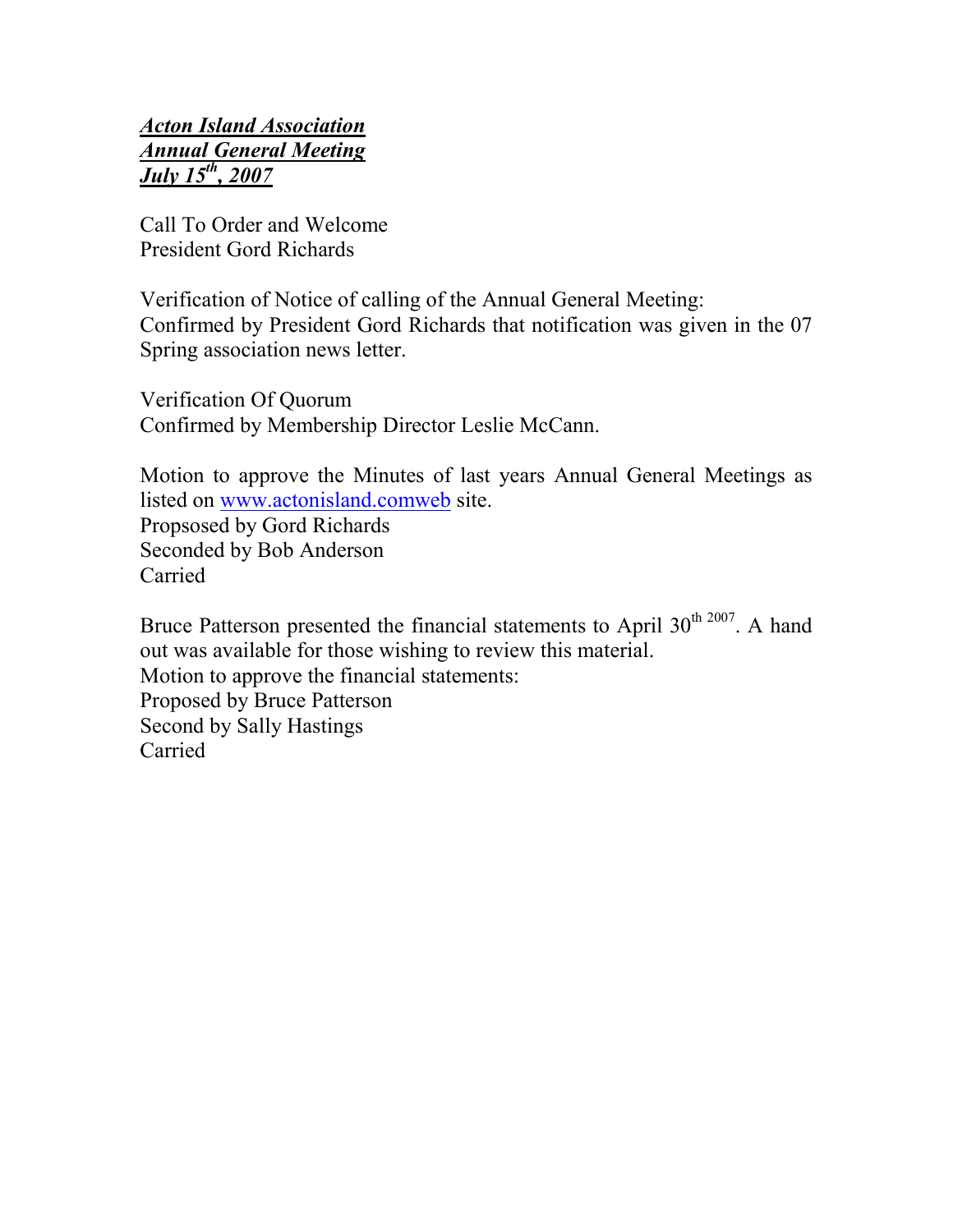## Acton Island Association Annual General Meeting  $\overline{July\ 15^{th}, 2007}$

Call To Order and Welcome President Gord Richards

Verification of Notice of calling of the Annual General Meeting: Confirmed by President Gord Richards that notification was given in the 07 Spring association news letter.

Verification Of Quorum Confirmed by Membership Director Leslie McCann.

Motion to approve the Minutes of last years Annual General Meetings as listed on www.actonisland.comweb site. Propsosed by Gord Richards Seconded by Bob Anderson Carried

Bruce Patterson presented the financial statements to April  $30<sup>th 2007</sup>$ . A hand out was available for those wishing to review this material. Motion to approve the financial statements: Proposed by Bruce Patterson Second by Sally Hastings Carried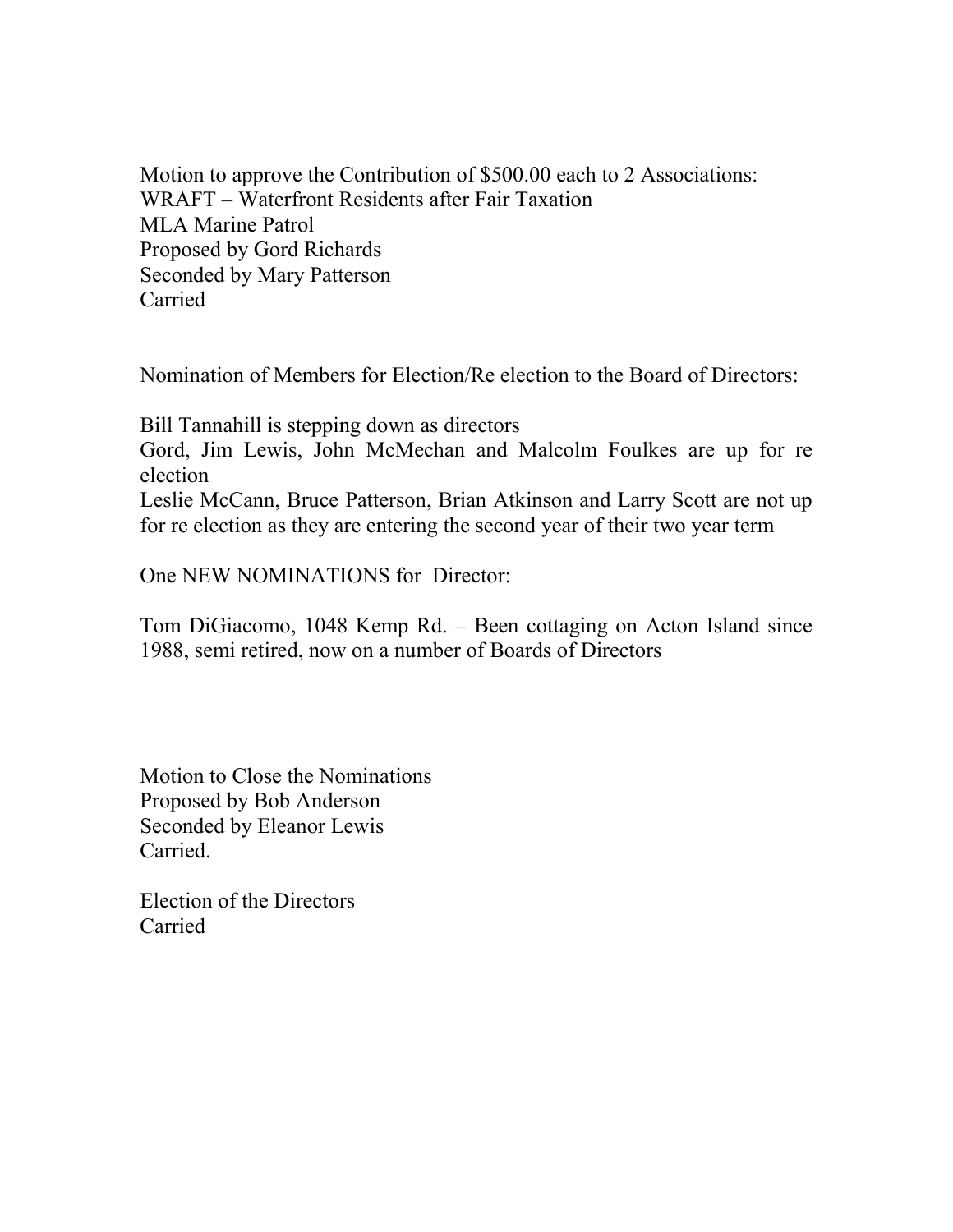Motion to approve the Contribution of \$500.00 each to 2 Associations: WRAFT – Waterfront Residents after Fair Taxation MLA Marine Patrol Proposed by Gord Richards Seconded by Mary Patterson Carried

Nomination of Members for Election/Re election to the Board of Directors:

Bill Tannahill is stepping down as directors

Gord, Jim Lewis, John McMechan and Malcolm Foulkes are up for re election

Leslie McCann, Bruce Patterson, Brian Atkinson and Larry Scott are not up for re election as they are entering the second year of their two year term

One NEW NOMINATIONS for Director:

Tom DiGiacomo, 1048 Kemp Rd. – Been cottaging on Acton Island since 1988, semi retired, now on a number of Boards of Directors

Motion to Close the Nominations Proposed by Bob Anderson Seconded by Eleanor Lewis Carried.

Election of the Directors Carried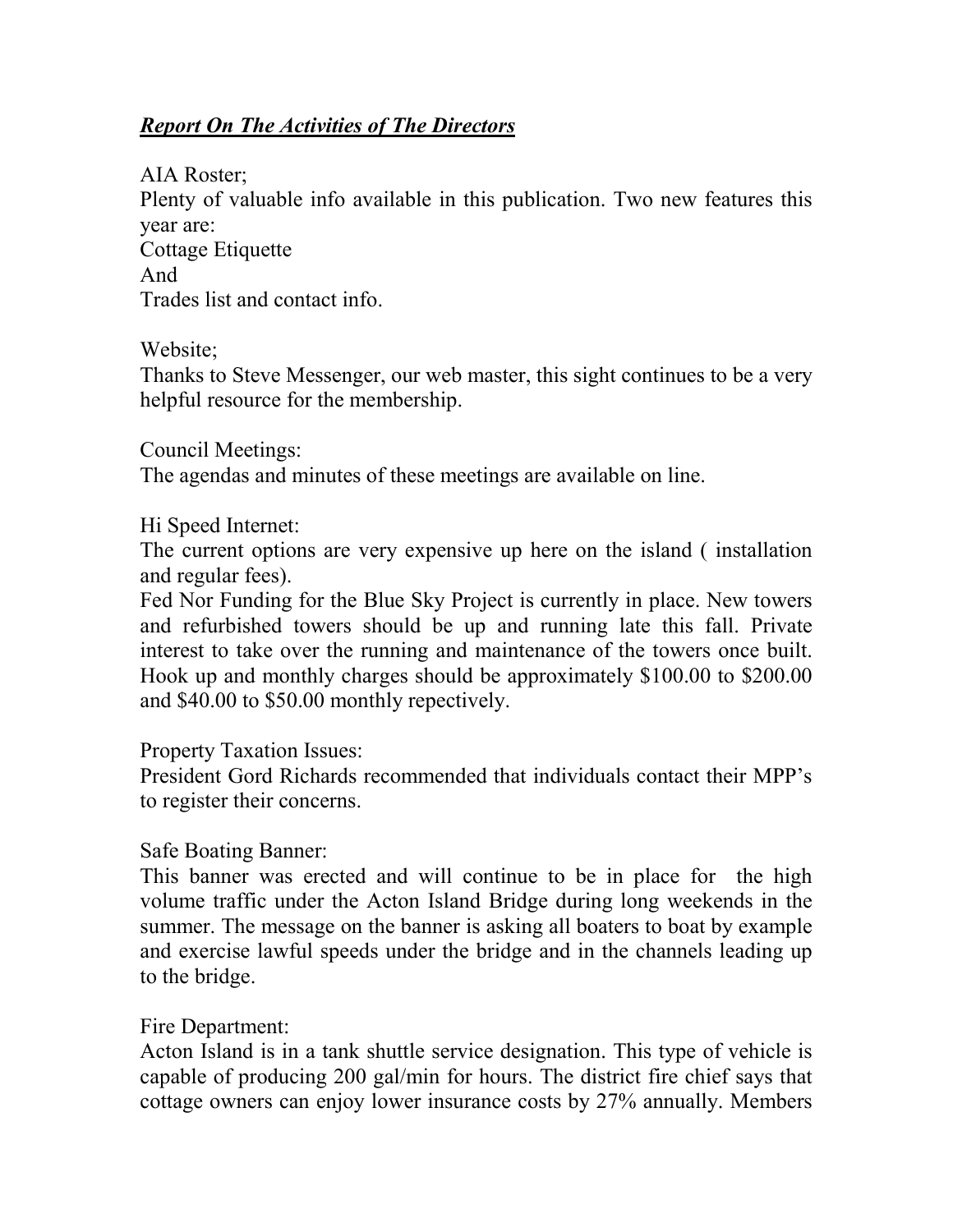## Report On The Activities of The Directors

AIA Roster; Plenty of valuable info available in this publication. Two new features this year are: Cottage Etiquette And Trades list and contact info.

Website;

Thanks to Steve Messenger, our web master, this sight continues to be a very helpful resource for the membership.

Council Meetings:

The agendas and minutes of these meetings are available on line.

Hi Speed Internet:

The current options are very expensive up here on the island ( installation and regular fees).

Fed Nor Funding for the Blue Sky Project is currently in place. New towers and refurbished towers should be up and running late this fall. Private interest to take over the running and maintenance of the towers once built. Hook up and monthly charges should be approximately \$100.00 to \$200.00 and \$40.00 to \$50.00 monthly repectively.

Property Taxation Issues:

President Gord Richards recommended that individuals contact their MPP's to register their concerns.

## Safe Boating Banner:

This banner was erected and will continue to be in place for the high volume traffic under the Acton Island Bridge during long weekends in the summer. The message on the banner is asking all boaters to boat by example and exercise lawful speeds under the bridge and in the channels leading up to the bridge.

## Fire Department:

Acton Island is in a tank shuttle service designation. This type of vehicle is capable of producing 200 gal/min for hours. The district fire chief says that cottage owners can enjoy lower insurance costs by 27% annually. Members